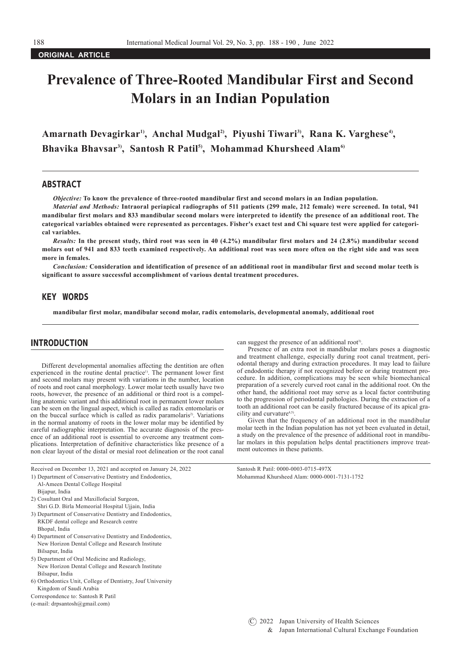### **ORIGINAL ARTICLE**

# **Prevalence of Three-Rooted Mandibular First and Second Molars in an Indian Population**

Amarnath Devagirkar<sup>1)</sup>, Anchal Mudgal<sup>2)</sup>, Piyushi Tiwari<sup>3)</sup>, Rana K. Varghese<sup>4</sup>), Bhavika Bhavsar<sup>3</sup>, Santosh R Patil<sup>5</sup>, Mohammad Khursheed Alam<sup>6</sup>

#### ABSTRACT

*Objective:* **To know the prevalence of three-rooted mandibular first and second molars in an Indian population.**

*Material and Methods:* **Intraoral periapical radiographs of 511 patients (299 male, 212 female) were screened. In total, 941 mandibular first molars and 833 mandibular second molars were interpreted to identify the presence of an additional root. The categorical variables obtained were represented as percentages. Fisher's exact test and Chi square test were applied for categorical variables.**

*Results:* **In the present study, third root was seen in 40 (4.2%) mandibular first molars and 24 (2.8%) mandibular second molars out of 941 and 833 teeth examined respectively. An additional root was seen more often on the right side and was seen more in females.**

*Conclusion:* **Consideration and identification of presence of an additional root in mandibular first and second molar teeth is significant to assure successful accomplishment of various dental treatment procedures.**

# KEY WORDS

**mandibular first molar, mandibular second molar, radix entomolaris, developmental anomaly, additional root**

# INTRODUCTION

Different developmental anomalies affecting the dentition are often experienced in the routine dental practice<sup>1)</sup>. The permanent lower first and second molars may present with variations in the number, location of roots and root canal morphology. Lower molar teeth usually have two roots, however, the presence of an additional or third root is a compelling anatomic variant and this additional root in permanent lower molars can be seen on the lingual aspect, which is called as radix entomolaris or on the buccal surface which is called as radix paramolaris<sup>2</sup>. Variations in the normal anatomy of roots in the lower molar may be identified by careful radiographic interpretation. The accurate diagnosis of the presence of an additional root is essential to overcome any treatment complications. Interpretation of definitive characteristics like presence of a non clear layout of the distal or mesial root delineation or the root canal

Received on December 13, 2021 and accepted on January 24, 2022 Santosh R Patil: 0000-0003-0715-497X

- 
- Al-Ameen Dental College Hospital Bijapur, India
- 2) Cosultant Oral and Maxillofacial Surgeon,
- Shri G.D. Birla Memeorial Hospital Ujjain, India
- 3) Department of Conservative Dentistry and Endodontics, RKDF dental college and Research centre Bhopal, India
- 4) Department of Conservative Dentistry and Endodontics, New Horizon Dental College and Research Institute Bilsapur, India
- 5) Department of Oral Medicine and Radiology, New Horizon Dental College and Research Institute Bilsapur, India
- 6) Orthodontics Unit, College of Dentistry, Jouf University Kingdom of Saudi Arabia
- Correspondence to: Santosh R Patil
- (e-mail: drpsantosh@gmail.com)

can suggest the presence of an additional root<sup>3)</sup>.

Presence of an extra root in mandibular molars poses a diagnostic and treatment challenge, especially during root canal treatment, periodontal therapy and during extraction procedures. It may lead to failure of endodontic therapy if not recognized before or during treatment procedure. In addition, complications may be seen while biomechanical preparation of a severely curved root canal in the additional root. On the other hand, the additional root may serve as a local factor contributing to the progression of periodontal pathologies. During the extraction of a tooth an additional root can be easily fractured because of its apical gracility and curvature<sup>4,5)</sup>

Given that the frequency of an additional root in the mandibular molar teeth in the Indian population has not yet been evaluated in detail, a study on the prevalence of the presence of additional root in mandibular molars in this population helps dental practitioners improve treatment outcomes in these patients.

1) Department of Conservative Dentistry and Endodontics, Mohammad Khursheed Alam: 0000-0001-7131-1752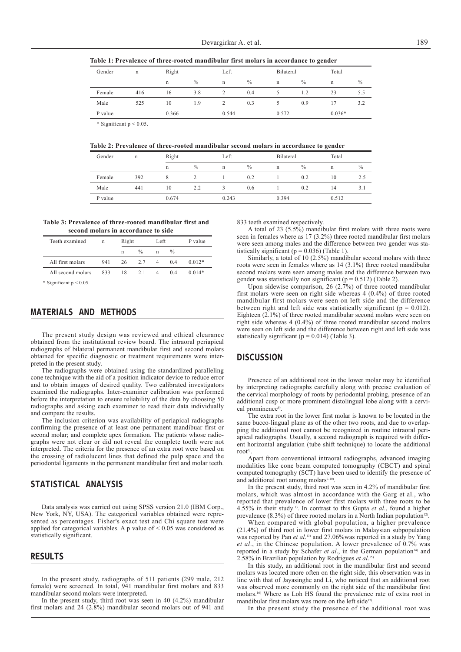**Table 1: Prevalence of three-rooted mandibular first molars in accordance to gender**

| Gender  | $\mathbf n$ | Right       |      | Left  |      | Bilateral   |      | Total    |      |
|---------|-------------|-------------|------|-------|------|-------------|------|----------|------|
|         |             | $\mathbf n$ | $\%$ | n     | $\%$ | $\mathbf n$ | $\%$ | n        | $\%$ |
| Female  | 416         | 16          | 3.8  |       | 0.4  |             | 1.2  | 23       | 5.5  |
| Male    | 525         | 10          | 1.9  |       | 0.3  |             | 0.9  |          | 3.2  |
| P value | 0.366       |             |      | 0.544 |      | 0.572       |      | $0.036*$ |      |

\* Significant p < 0.05.

**Table 2: Prevalence of three-rooted mandibular second molars in accordance to gender**

| Gender  | n   | Right |               | Left  |               | Bilateral |               | Total |      |
|---------|-----|-------|---------------|-------|---------------|-----------|---------------|-------|------|
|         |     | n     | $\frac{0}{0}$ | n     | $\frac{0}{0}$ | n         | $\frac{0}{0}$ | n     | $\%$ |
| Female  | 392 |       |               |       | 0.2           |           | 0.2           | 10    | 2.5  |
| Male    | 441 | 10    | 2.2           |       | 0.6           |           | 0.2           | 14    | 3.1  |
| P value |     | 0.674 |               | 0.243 |               | 0.394     |               | 0.512 |      |

#### **Table 3: Prevalence of three-rooted mandibular first and second molars in accordance to side**

| Teeth examined    | $\mathsf{n}$ | Right |               | Left           |               | P value  |  |
|-------------------|--------------|-------|---------------|----------------|---------------|----------|--|
|                   |              | n     | $\frac{0}{0}$ | n              | $\frac{0}{0}$ |          |  |
| All first molars  | 941          | 26    | 2.7           | $\overline{4}$ | 04            | $0.012*$ |  |
| All second molars | 833          | 18    | 2.1           | $\overline{4}$ | 04            | $0.014*$ |  |

Significant  $p < 0.05$ 

# MATERIALS AND METHODS

The present study design was reviewed and ethical clearance obtained from the institutional review board. The intraoral periapical radiographs of bilateral permanent mandibular first and second molars obtained for specific diagnostic or treatment requirements were interpreted in the present study.

The radiographs were obtained using the standardized paralleling cone technique with the aid of a position indicator device to reduce error and to obtain images of desired quality. Two calibrated investigators examined the radiographs. Inter-examiner calibration was performed before the interpretation to ensure reliability of the data by choosing 50 radiographs and asking each examiner to read their data individually and compare the results.

The inclusion criterion was availability of periapical radiographs confirming the presence of at least one permanent mandibuar first or second molar; and complete apex formation. The patients whose radiographs were not clear or did not reveal the complete tooth were not interpreted. The criteria for the presence of an extra root were based on the crossing of radiolucent lines that defined the pulp space and the periodontal ligaments in the permanent mandibular first and molar teeth.

# STATISTICAL ANALYSIS

Data analysis was carried out using SPSS version 21.0 (IBM Corp., New York, NY, USA). The categorical variables obtained were represented as percentages. Fisher's exact test and Chi square test were applied for categorical variables. A p value of < 0.05 was considered as statistically significant.

#### RESULTS

In the present study, radiographs of 511 patients (299 male, 212 female) were screened. In total, 941 mandibular first molars and 833 mandibular second molars were interpreted.

In the present study, third root was seen in 40 (4.2%) mandibular first molars and 24 (2.8%) mandibular second molars out of 941 and 833 teeth examined respectively.

A total of 23 (5.5%) mandibular first molars with three roots were seen in females where as 17 (3.2%) three rooted mandibular first molars were seen among males and the difference between two gender was statistically significant ( $p = 0.036$ ) (Table 1).

Similarly, a total of 10 (2.5%) mandibular second molars with three roots were seen in females where as 14 (3.1%) three rooted mandibular second molars were seen among males and the difference between two gender was statistically non significant ( $p = 0.512$ ) (Table 2).

Upon sidewise comparison, 26 (2.7%) of three rooted mandibular first molars were seen on right side whereas 4 (0.4%) of three rooted mandibular first molars were seen on left side and the difference between right and left side was statistically significant ( $p = 0.012$ ). Eighteen (2.1%) of three rooted mandibular second molars were seen on right side whereas 4 (0.4%) of three rooted mandibular second molars were seen on left side and the difference between right and left side was statistically significant ( $p = 0.014$ ) (Table 3).

# **DISCUSSION**

Presence of an additional root in the lower molar may be identified by interpreting radiographs carefully along with precise evaluation of the cervical morphology of roots by periodontal probing, presence of an additional cusp or more prominent distolingual lobe along with a cervical prominence<sup>6)</sup>.

The extra root in the lower first molar is known to be located in the same bucco-lingual plane as of the other two roots, and due to overlapping the additional root cannot be recognized in routine intraoral periapical radiographs. Usually, a second radiograph is required with different horizontal angulation (tube shift technique) to locate the additional root $^{6)}$ 

Apart from conventional intraoral radiographs, advanced imaging modalities like cone beam computed tomography (CBCT) and spiral computed tomography (SCT) have been used to identify the presence of and additional root among molars<sup>7-10</sup>.

In the present study, third root was seen in 4.2% of mandibular first molars, which was almost in accordance with the Garg et al., who reported that prevalence of lower first molars with three roots to be 4.55% in their study11). In contrast to this Gupta *et al*., found a higher prevalence  $(8.3\%)$  of three rooted molars in a North Indian population<sup>12)</sup>.

When compared with global population, a higher prevalence (21.4%) of third root in lower first molars in Malaysian subpopulation was reported by Pan *et al*. 13) and 27.06%was reported in a study by Yang *et al*., in the Chinese population. A lower prevalence of 0.7% was reported in a study by Schafer *et al.*, in the German population<sup>14)</sup> and 2.58% in Brazilian population by Rodrigues *et al*. 15)

In this study, an additional root in the mandibular first and second molars was located more often on the right side, this observation was in line with that of Jayasinghe and Li, who noticed that an additional root was observed more commonly on the right side of the mandibular first molars.16) Where as Loh HS found the prevalence rate of extra root in mandibular first molars was more on the left side<sup>17)</sup>.

In the present study the presence of the additional root was